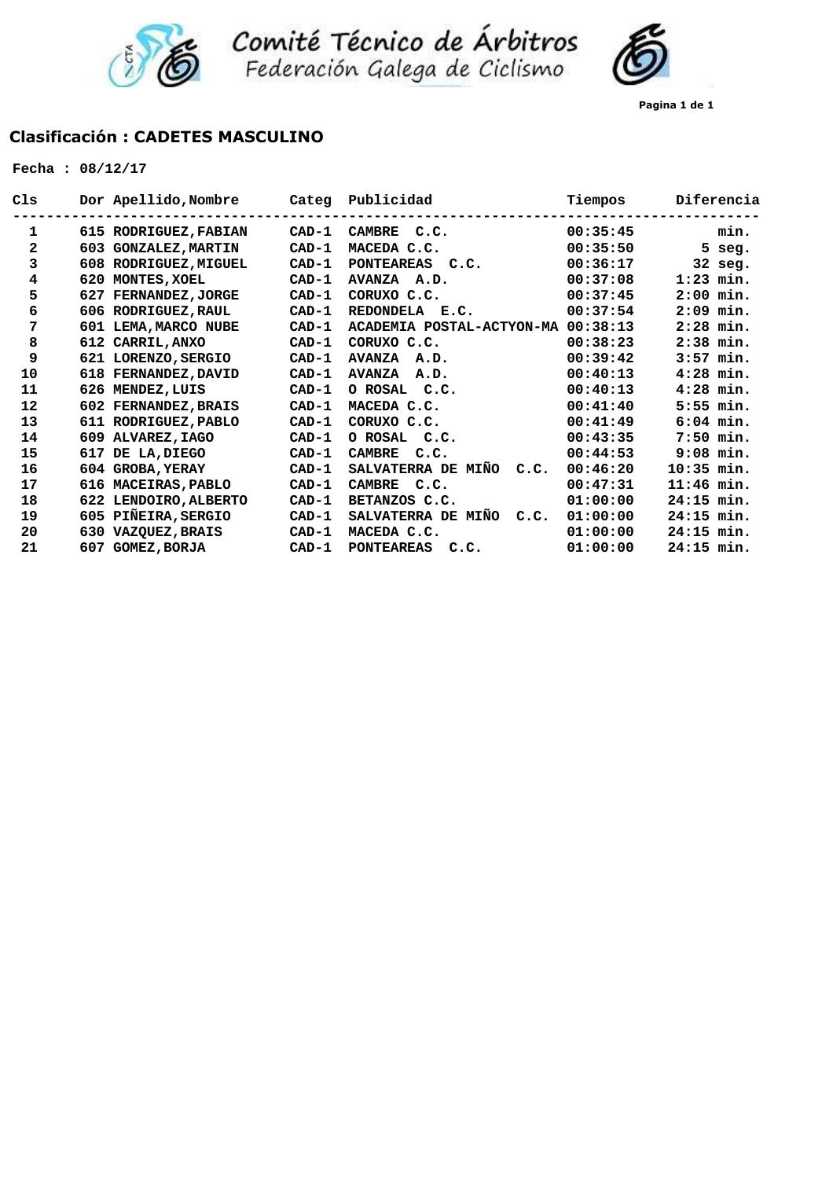

Comité Técnico de Árbitros<br>Federación Galega de Ciclismo

## **Clasificación : CADETES MASCULINO**

| Cls          |     | Dor Apellido, Nombre    | Categ   | Publicidad                                  | Tiempos  | Diferencia   |
|--------------|-----|-------------------------|---------|---------------------------------------------|----------|--------------|
| 1            |     | 615 RODRIGUEZ, FABIAN   | $CAD-1$ | <b>CAMBRE</b><br>C.C.                       | 00:35:45 | min.         |
| $\mathbf{2}$ | 603 | <b>GONZALEZ, MARTIN</b> | $CAD-1$ | MACEDA C.C.                                 | 00:35:50 | 5 seg.       |
| 3            |     | 608 RODRIGUEZ, MIGUEL   | $CAD-1$ | <b>PONTEAREAS</b><br>C.C.                   | 00:36:17 | 32 seg.      |
| 4            | 620 | MONTES, XOEL            | $CAD-1$ | <b>AVANZA</b><br>A.D.                       | 00:37:08 | $1:23$ min.  |
| 5            | 627 | <b>FERNANDEZ, JORGE</b> | $CAD-1$ | CORUXO C.C.                                 | 00:37:45 | $2:00$ min.  |
| 6            | 606 | <b>RODRIGUEZ, RAUL</b>  | $CAD-1$ | REDONDELA E.C.                              | 00:37:54 | 2:09<br>min. |
| 7            | 601 | LEMA, MARCO NUBE        | $CAD-1$ | ACADEMIA POSTAL-ACTYON-MA                   | 00:38:13 | $2:28$ min.  |
| 8            |     | 612 CARRIL, ANXO        | $CAD-1$ | CORUXO C.C.                                 | 00:38:23 | $2:38$ min.  |
| 9            |     | 621 LORENZO, SERGIO     | $CAD-1$ | <b>AVANZA</b><br>A.D.                       | 00:39:42 | $3:57$ min.  |
| 10           |     | 618 FERNANDEZ, DAVID    | $CAD-1$ | <b>AVANZA</b><br>A.D.                       | 00:40:13 | $4:28$ min.  |
| 11           | 626 | <b>MENDEZ, LUIS</b>     | $CAD-1$ | O ROSAL<br>C.C.                             | 00:40:13 | $4:28$ min.  |
| 12           |     | 602 FERNANDEZ, BRAIS    | $CAD-1$ | MACEDA C.C.                                 | 00:41:40 | $5:55$ min.  |
| 13           |     | 611 RODRIGUEZ, PABLO    | $CAD-1$ | CORUXO C.C.                                 | 00:41:49 | $6:04$ min.  |
| 14           | 609 | <b>ALVAREZ, IAGO</b>    | $CAD-1$ | O ROSAL<br>C.C.                             | 00:43:35 | $7:50$ min.  |
| 15           | 617 | DE LA, DIEGO            | $CAD-1$ | <b>CAMBRE</b><br>C.C.                       | 00:44:53 | $9:08$ min.  |
| 16           |     | 604 GROBA, YERAY        | $CAD-1$ | SALVATERRA DE MIÑO<br>C.C.                  | 00:46:20 | $10:35$ min. |
| 17           |     | 616 MACEIRAS, PABLO     | $CAD-1$ | <b>CAMBRE</b><br>C.C.                       | 00:47:31 | $11:46$ min. |
| 18           |     | 622 LENDOIRO, ALBERTO   | $CAD-1$ | BETANZOS C.C.                               | 01:00:00 | $24:15$ min. |
| 19           | 605 | PIÑEIRA, SERGIO         | $CAD-1$ | <b>SALVATERRA DE</b><br><b>MIÑO</b><br>C.C. | 01:00:00 | $24:15$ min. |
| 20           | 630 | <b>VAZQUEZ, BRAIS</b>   | $CAD-1$ | MACEDA C.C.                                 | 01:00:00 | $24:15$ min. |
| 21           | 607 | <b>GOMEZ, BORJA</b>     | $CAD-1$ | <b>PONTEAREAS</b><br>c.c.                   | 01:00:00 | $24:15$ min. |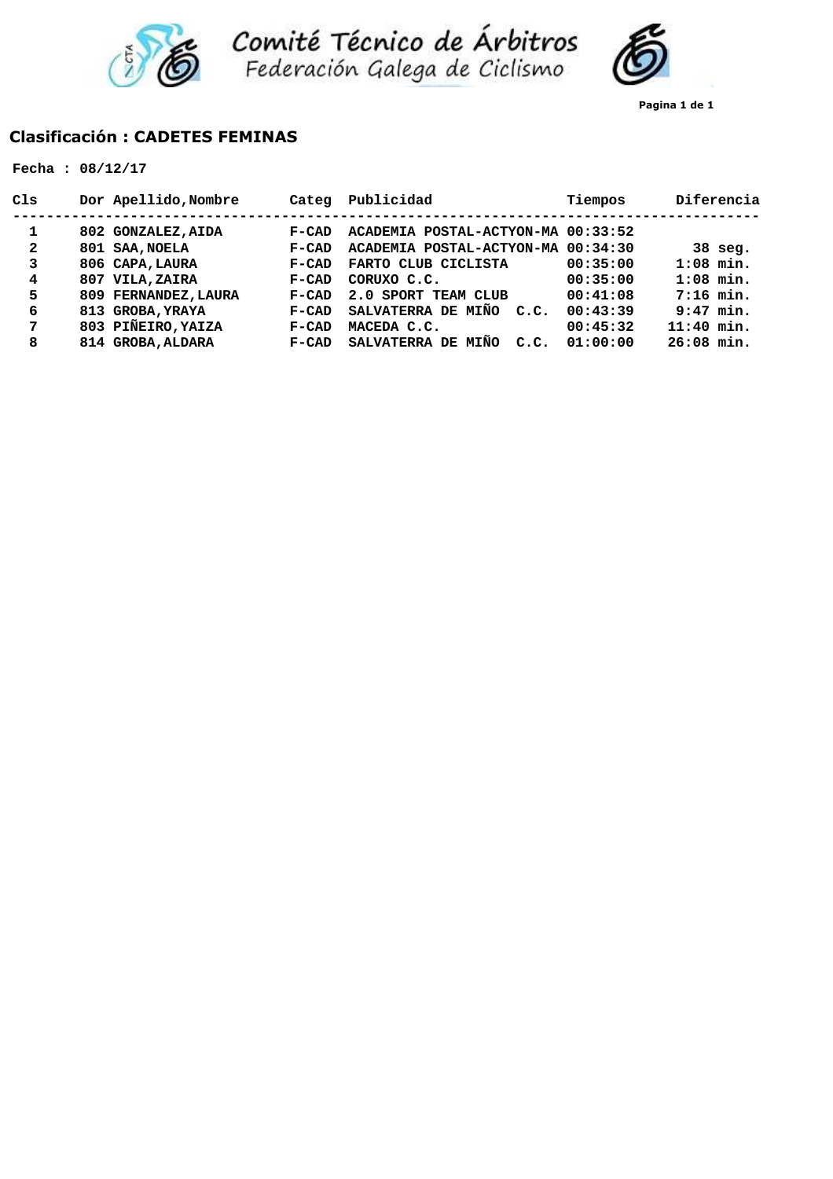



**Pagina 1 de 1**

# **Clasificación : CADETES FEMINAS**

| C1s          | Dor Apellido, Nombre | Categ   | Publicidad                         | Tiempos  | Diferencia   |
|--------------|----------------------|---------|------------------------------------|----------|--------------|
| 1            | 802 GONZALEZ, AIDA   | $F-CAD$ | ACADEMIA POSTAL-ACTYON-MA 00:33:52 |          |              |
| $\mathbf{2}$ | 801 SAA, NOELA       | $F-CAD$ | ACADEMIA POSTAL-ACTYON-MA 00:34:30 |          | $38$ seg.    |
| 3            | 806 CAPA, LAURA      | $F-CAD$ | FARTO CLUB CICLISTA                | 00:35:00 | $1:08$ min.  |
| 4            | 807 VILA, ZAIRA      | $F-CAD$ | CORUXO C.C.                        | 00:35:00 | $1:08$ min.  |
| 5            | 809 FERNANDEZ, LAURA | $F-CAD$ | 2.0 SPORT TEAM CLUB                | 00:41:08 | $7:16$ min.  |
| 6            | 813 GROBA, YRAYA     | $F-CAD$ | SALVATERRA DE MIÑO<br>C.C.         | 00:43:39 | $9:47$ min.  |
| 7            | 803 PIÑEIRO, YAIZA   | $F-CAD$ | MACEDA C.C.                        | 00:45:32 | $11:40$ min. |
| 8            | 814 GROBA, ALDARA    | $F-CAD$ | SALVATERRA DE<br>MIÑO<br>C.C.      | 01:00:00 | $26:08$ min. |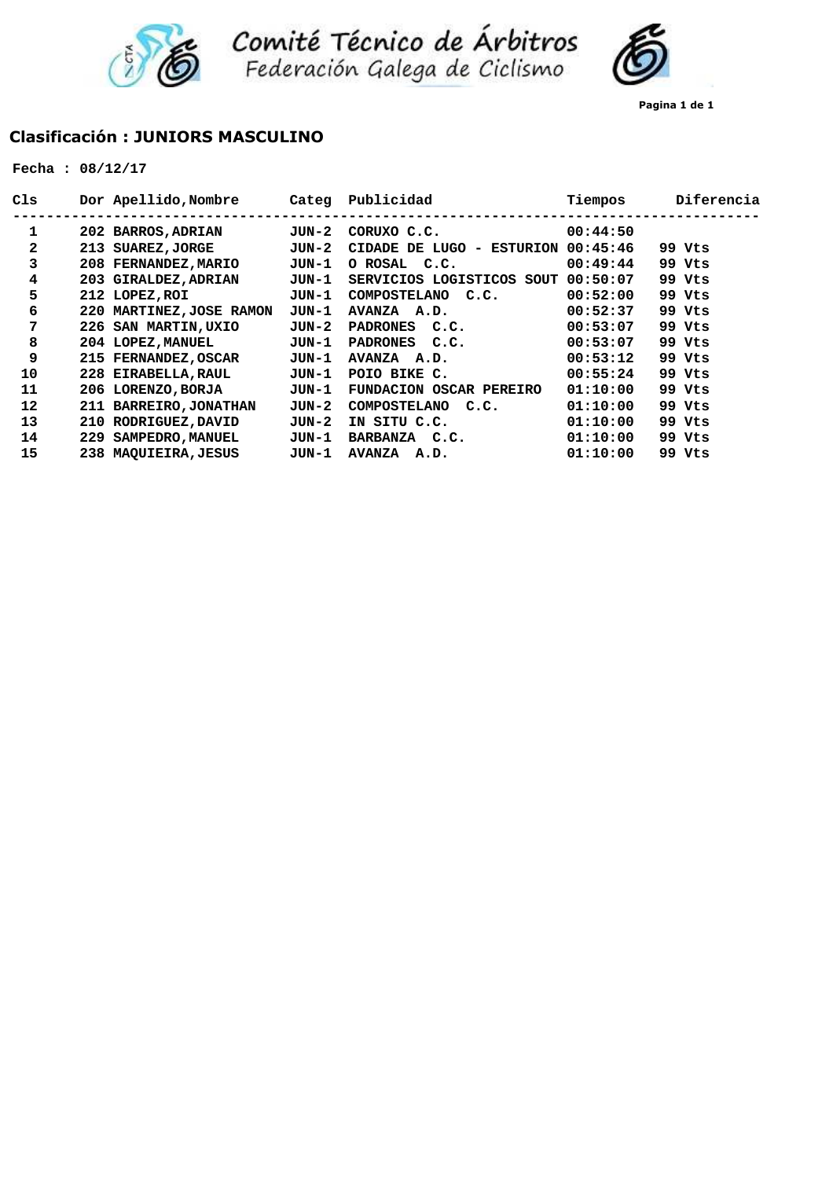



**Pagina 1 de 1**

## **Clasificación : JUNIORS MASCULINO**

| C1s |     | Dor Apellido, Nombre        | Categ | Publicidad                          | Tiempos  | Diferencia |
|-----|-----|-----------------------------|-------|-------------------------------------|----------|------------|
| 1   |     | 202 BARROS, ADRIAN          | JUN-2 | CORUXO C.C.                         | 00:44:50 |            |
| 2   | 213 | <b>SUAREZ, JORGE</b>        | JUN-2 | CIDADE DE LUGO -<br><b>ESTURION</b> | 00:45:46 | 99 Vts     |
| 3   |     | 208 FERNANDEZ, MARIO        | JUN-1 | O ROSAL C.C.                        | 00:49:44 | 99 Vts     |
| 4   |     | 203 GIRALDEZ, ADRIAN        | JUN-1 | SERVICIOS LOGISTICOS SOUT           | 00:50:07 | 99 Vts     |
| 5   |     | 212 LOPEZ, ROI              | JUN-1 | <b>COMPOSTELANO</b><br>C.C.         | 00:52:00 | 99 Vts     |
| 6   | 220 | <b>MARTINEZ, JOSE RAMON</b> | JUN-1 | AVANZA A.D.                         | 00:52:37 | 99 Vts     |
| 7   |     | 226 SAN MARTIN, UXIO        | JUN-2 | PADRONES C.C.                       | 00:53:07 | 99 Vts     |
| 8   |     | 204 LOPEZ, MANUEL           | JUN-1 | PADRONES C.C.                       | 00:53:07 | 99 Vts     |
| 9   |     | 215 FERNANDEZ, OSCAR        | JUN-1 | AVANZA A.D.                         | 00:53:12 | 99 Vts     |
| 10  |     | 228 EIRABELLA, RAUL         | JUN-1 | POIO BIKE C.                        | 00:55:24 | 99 Vts     |
| 11  |     | 206 LORENZO, BORJA          | JUN-1 | FUNDACION OSCAR PEREIRO             | 01:10:00 | 99 Vts     |
| 12  |     | 211 BARREIRO, JONATHAN      | JUN-2 | <b>COMPOSTELANO</b><br>C.C.         | 01:10:00 | 99 Vts     |
| 13  | 210 | RODRIGUEZ, DAVID            | JUN-2 | IN SITU C.C.                        | 01:10:00 | 99 Vts     |
| 14  | 229 | SAMPEDRO, MANUEL            | JUN-1 | BARBANZA C.C.                       | 01:10:00 | 99 Vts     |
| 15  |     | 238 MAOUIEIRA, JESUS        | JUN-1 | AVANZA A.D.                         | 01:10:00 | 99 Vts     |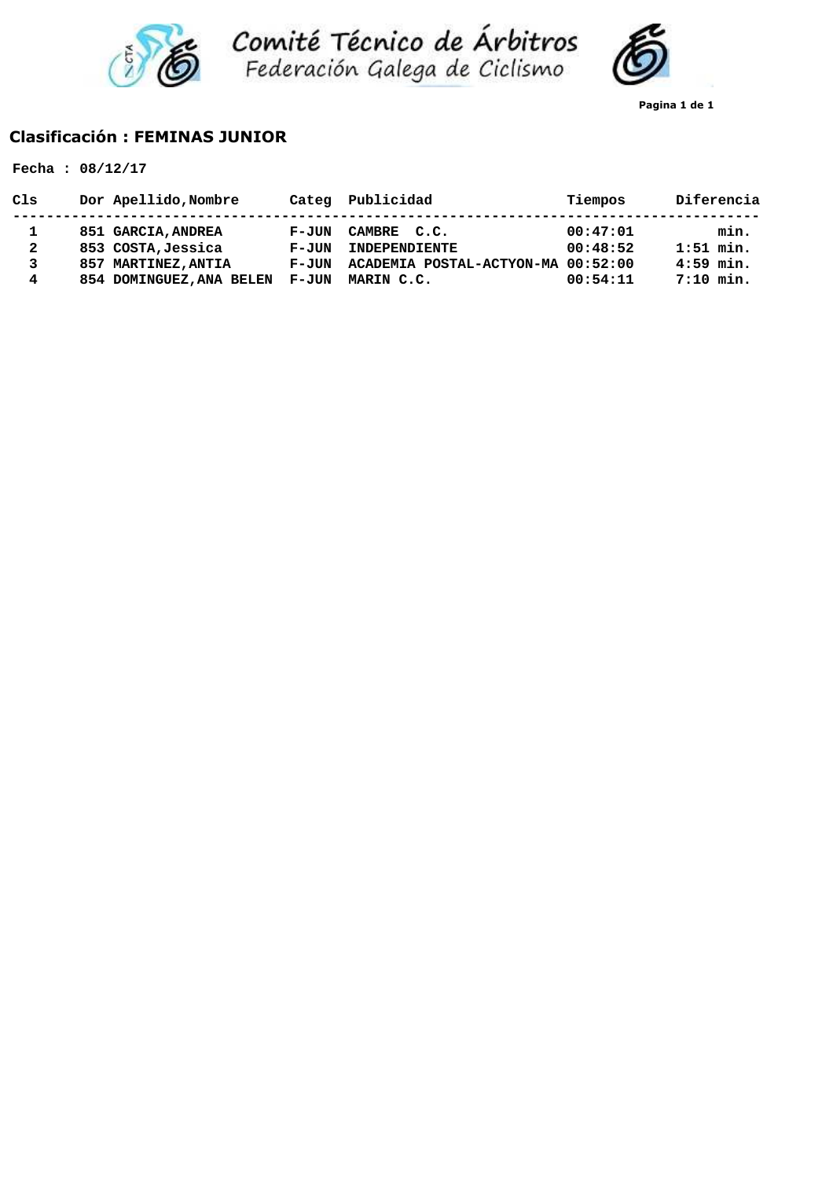



**Pagina 1 de 1**

## **Clasificación : FEMINAS JUNIOR**

|                             | Fecha: $08/12/17$                                                                                     |                                               |                                                                                  |                                  |                                                   |
|-----------------------------|-------------------------------------------------------------------------------------------------------|-----------------------------------------------|----------------------------------------------------------------------------------|----------------------------------|---------------------------------------------------|
| Cls                         | Dor Apellido, Nombre                                                                                  | Categ                                         | Publicidad                                                                       | Tiempos                          | Diferencia                                        |
| 1<br>$\mathbf{2}$<br>3<br>4 | 851 GARCIA, ANDREA<br>853 COSTA, Jessica<br><b>MARTINEZ, ANTIA</b><br>857<br>854 DOMINGUEZ, ANA BELEN | F-JUN<br><b>F-JUN</b><br>$F - JUN$<br>$F-JUN$ | CAMBRE C.C.<br>INDEPENDIENTE<br>ACADEMIA POSTAL-ACTYON-MA 00:52:00<br>MARIN C.C. | 00:47:01<br>00:48:52<br>00:54:11 | min.<br>$1:51$ min.<br>$4:59$ min.<br>$7:10$ min. |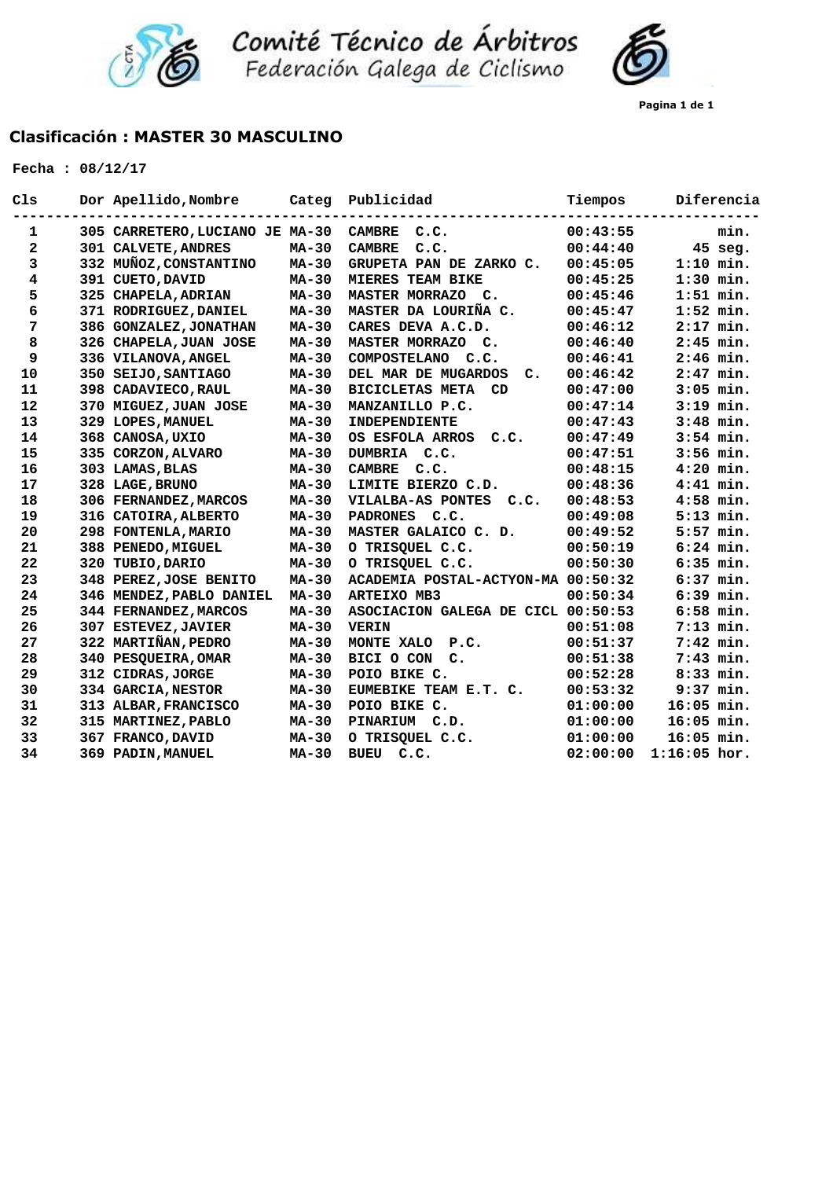

Comité Técnico de Árbitros<br>Federación Galega de Ciclismo



## **Clasificación : MASTER 30 MASCULINO**

| C1s          | Dor Apellido, Nombre            | Categ        | Publicidad                          | Tiempos  | Diferencia     |
|--------------|---------------------------------|--------------|-------------------------------------|----------|----------------|
| 1            | 305 CARRETERO, LUCIANO JE MA-30 |              | <b>CAMBRE</b><br>C.C.               | 00:43:55 | min.           |
| $\mathbf{2}$ | 301 CALVETE, ANDRES             | $MA-30$      | <b>CAMBRE</b><br>C.C.               | 00:44:40 | $45$ seg.      |
| $\mathbf{3}$ | 332 MUÑOZ, CONSTANTINO          | <b>MA-30</b> | GRUPETA PAN DE ZARKO C.             | 00:45:05 | $1:10$ min.    |
| 4            | 391 CUETO, DAVID                | MA-30        | <b>MIERES TEAM BIKE</b>             | 00:45:25 | $1:30$ min.    |
| 5            | 325 CHAPELA, ADRIAN             | <b>MA-30</b> | MASTER MORRAZO C.                   | 00:45:46 | $1:51$ min.    |
| 6            | 371 RODRIGUEZ, DANIEL           | <b>MA-30</b> | MASTER DA LOURIÑA C.                | 00:45:47 | $1:52$ min.    |
| 7            | 386 GONZALEZ, JONATHAN          | <b>MA-30</b> | CARES DEVA A.C.D.                   | 00:46:12 | $2:17$ min.    |
| 8            | 326 CHAPELA, JUAN JOSE          | <b>MA-30</b> | MASTER MORRAZO C.                   | 00:46:40 | $2:45$ min.    |
| 9            | 336 VILANOVA, ANGEL             | <b>MA-30</b> | COMPOSTELANO C.C.                   | 00:46:41 | $2:46$ min.    |
| 10           | 350 SEIJO, SANTIAGO             | <b>MA-30</b> | DEL MAR DE MUGARDOS<br>c.           | 00:46:42 | $2:47$ min.    |
| 11           | 398 CADAVIECO, RAUL             | MA-30        | <b>BICICLETAS META</b><br><b>CD</b> | 00:47:00 | $3:05$ min.    |
| 12           | 370 MIGUEZ, JUAN JOSE           | $MA-30$      | MANZANILLO P.C.                     | 00:47:14 | $3:19$ min.    |
| 13           | 329 LOPES, MANUEL               | $MA-30$      | INDEPENDIENTE                       | 00:47:43 | $3:48$ min.    |
| 14           | 368 CANOSA, UXIO                | $MA-30$      | OS ESFOLA ARROS<br>C.C.             | 00:47:49 | $3:54$ min.    |
| 15           | 335 CORZON, ALVARO              | $MA-30$      | DUMBRIA C.C.                        | 00:47:51 | $3:56$ min.    |
| 16           | 303 LAMAS, BLAS                 | <b>MA-30</b> | <b>CAMBRE</b><br>C.C.               | 00:48:15 | $4:20$ min.    |
| 17           | 328 LAGE, BRUNO                 | <b>MA-30</b> | LIMITE BIERZO C.D.                  | 00:48:36 | $4:41$ min.    |
| 18           | 306 FERNANDEZ, MARCOS           | MA-30        | VILALBA-AS PONTES<br>C.C.           | 00:48:53 | $4:58$ min.    |
| 19           | 316 CATOIRA, ALBERTO            | $MA-30$      | PADRONES C.C.                       | 00:49:08 | $5:13$ min.    |
| 20           | 298 FONTENLA, MARIO             | <b>MA-30</b> | MASTER GALAICO C. D.                | 00:49:52 | $5:57$ min.    |
| 21           | 388 PENEDO, MIGUEL              | <b>MA-30</b> | O TRISQUEL C.C.                     | 00:50:19 | $6:24$ min.    |
| 22           | 320 TUBIO, DARIO                | $MA-30$      | O TRISQUEL C.C.                     | 00:50:30 | $6:35$ min.    |
| 23           | 348 PEREZ, JOSE BENITO          | $MA-30$      | ACADEMIA POSTAL-ACTYON-MA 00:50:32  |          | $6:37$ min.    |
| 24           | 346 MENDEZ, PABLO DANIEL        | MA-30        | <b>ARTEIXO MB3</b>                  | 00:50:34 | $6:39$ min.    |
| 25           | 344 FERNANDEZ, MARCOS           | $MA-30$      | ASOCIACION GALEGA DE CICL 00:50:53  |          | $6:58$ min.    |
| 26           | 307 ESTEVEZ, JAVIER             | $MA-30$      | <b>VERIN</b>                        | 00:51:08 | $7:13$ min.    |
| 27           | 322 MARTIÑAN, PEDRO             | $MA-30$      | MONTE XALO<br>P.C.                  | 00:51:37 | $7:42$ min.    |
| 28           | 340 PESQUEIRA, OMAR             | $MA-30$      | BICI O CON C.                       | 00:51:38 | $7:43$ min.    |
| 29           | 312 CIDRAS, JORGE               | <b>MA-30</b> | POIO BIKE C.                        | 00:52:28 | $8:33$ min.    |
| 30           | 334 GARCIA, NESTOR              | <b>MA-30</b> | EUMEBIKE TEAM E.T. C.               | 00:53:32 | $9:37$ min.    |
| 31           | 313 ALBAR, FRANCISCO            | <b>MA-30</b> | POIO BIKE C.                        | 01:00:00 | $16:05$ min.   |
| 32           | 315 MARTINEZ, PABLO             | MA-30        | PINARIUM C.D.                       | 01:00:00 | $16:05$ min.   |
| 33           | 367 FRANCO, DAVID               | $MA-30$      | O TRISQUEL C.C.                     | 01:00:00 | $16:05$ min.   |
| 34           | 369 PADIN, MANUEL               | $MA-30$      | C.C.<br><b>BUEU</b>                 | 02:00:00 | $1:16:05$ hor. |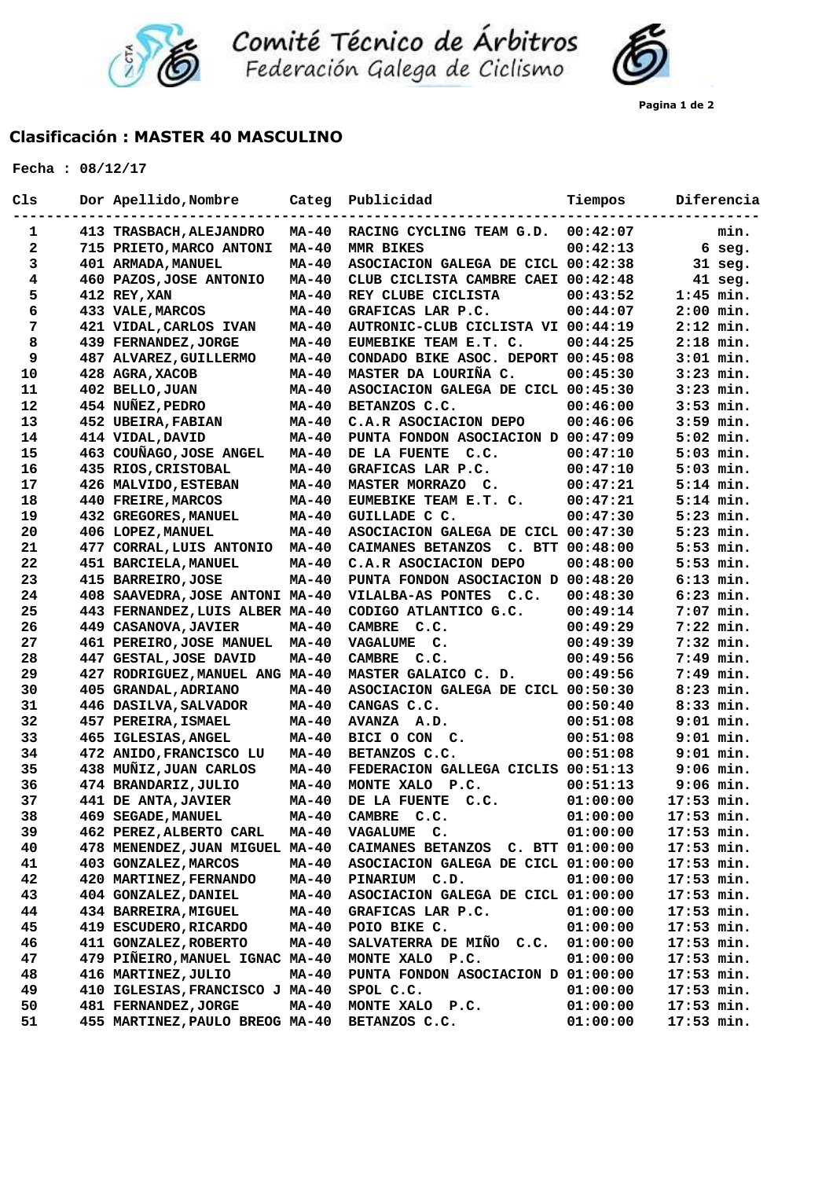

Comité Técnico de Árbitros<br>Federación Galega de Ciclismo

## **Clasificación : MASTER 40 MASCULINO**

| C1s | Dor Apellido, Nombre            | Categ        | Publicidad                         | Tiempos  | Diferencia          |
|-----|---------------------------------|--------------|------------------------------------|----------|---------------------|
| 1   | 413 TRASBACH, ALEJANDRO         | <b>MA-40</b> | RACING CYCLING TEAM G.D.           | 00:42:07 | -----------<br>min. |
| 2   | 715 PRIETO, MARCO ANTONI        | $MA-40$      | MMR BIKES                          | 00:42:13 | $6$ seg.            |
| 3   | 401 ARMADA, MANUEL              | $MA-40$      | ASOCIACION GALEGA DE CICL 00:42:38 |          | $31$ seg.           |
| 4   | 460 PAZOS, JOSE ANTONIO         | $MA-40$      | CLUB CICLISTA CAMBRE CAEI 00:42:48 |          | $41$ seg.           |
| 5   | 412 REY, XAN                    | MA-40        | REY CLUBE CICLISTA                 | 00:43:52 | $1:45$ min.         |
| 6   | 433 VALE, MARCOS                | $MA-40$      | GRAFICAS LAR P.C.                  | 00:44:07 | $2:00$ min.         |
| 7   | 421 VIDAL, CARLOS IVAN          | MA-40        | AUTRONIC-CLUB CICLISTA VI 00:44:19 |          | $2:12$ min.         |
| 8   | 439 FERNANDEZ, JORGE            | $MA-40$      | EUMEBIKE TEAM E.T. C.              | 00:44:25 | $2:18$ min.         |
| 9   | 487 ALVAREZ, GUILLERMO          | MA-40        | CONDADO BIKE ASOC. DEPORT 00:45:08 |          | $3:01$ min.         |
| 10  | 428 AGRA, XACOB                 | MA-40        | MASTER DA LOURIÑA C.               | 00:45:30 | $3:23$ min.         |
| 11  | 402 BELLO, JUAN                 | MA-40        | ASOCIACION GALEGA DE CICL 00:45:30 |          | $3:23$ min.         |
| 12  | 454 NUÑEZ, PEDRO                | $MA-40$      | BETANZOS C.C.                      | 00:46:00 | $3:53$ min.         |
| 13  |                                 | $MA-40$      | C.A.R ASOCIACION DEPO              | 00:46:06 | $3:59$ min.         |
|     | 452 UBEIRA, FABIAN              |              |                                    |          |                     |
| 14  | 414 VIDAL, DAVID                | $MA-40$      | PUNTA FONDON ASOCIACION D 00:47:09 |          | $5:02$ min.         |
| 15  | 463 COUÑAGO, JOSE ANGEL         | $MA-40$      | DE LA FUENTE C.C.                  | 00:47:10 | $5:03$ min.         |
| 16  | 435 RIOS, CRISTOBAL             | MA-40        | GRAFICAS LAR P.C.                  | 00:47:10 | $5:03$ min.         |
| 17  | 426 MALVIDO, ESTEBAN            | MA-40        | MASTER MORRAZO C.                  | 00:47:21 | $5:14$ min.         |
| 18  | 440 FREIRE, MARCOS              | $MA-40$      | EUMEBIKE TEAM E.T. C.              | 00:47:21 | $5:14$ min.         |
| 19  | 432 GREGORES, MANUEL            | MA-40        | GUILLADE C C.                      | 00:47:30 | $5:23$ min.         |
| 20  | 406 LOPEZ, MANUEL               | $MA-40$      | ASOCIACION GALEGA DE CICL 00:47:30 |          | $5:23$ min.         |
| 21  | 477 CORRAL, LUIS ANTONIO        | MA-40        | CAIMANES BETANZOS C. BTT 00:48:00  |          | $5:53$ min.         |
| 22  | 451 BARCIELA, MANUEL            | <b>MA-40</b> | C.A.R ASOCIACION DEPO              | 00:48:00 | $5:53$ min.         |
| 23  | 415 BARREIRO, JOSE              | $MA-40$      | PUNTA FONDON ASOCIACION D 00:48:20 |          | $6:13$ min.         |
| 24  | 408 SAAVEDRA, JOSE ANTONI MA-40 |              | VILALBA-AS PONTES C.C.             | 00:48:30 | $6:23$ min.         |
| 25  | 443 FERNANDEZ, LUIS ALBER MA-40 |              | CODIGO ATLANTICO G.C.              | 00:49:14 | $7:07$ min.         |
| 26  | <b>449 CASANOVA, JAVIER</b>     | MA-40        | CAMBRE C.C.                        | 00:49:29 | $7:22$ min.         |
| 27  | 461 PEREIRO, JOSE MANUEL        | $MA-40$      | VAGALUME C.                        | 00:49:39 | $7:32$ min.         |
| 28  | 447 GESTAL, JOSE DAVID          | MA-40        | <b>CAMBRE</b><br>C.C.              | 00:49:56 | $7:49$ min.         |
| 29  | 427 RODRIGUEZ, MANUEL ANG MA-40 |              | MASTER GALAICO C. D.               | 00:49:56 | $7:49$ min.         |
| 30  | 405 GRANDAL, ADRIANO            | MA-40        | ASOCIACION GALEGA DE CICL 00:50:30 |          | $8:23$ min.         |
| 31  | 446 DASILVA, SALVADOR           | <b>MA-40</b> | CANGAS C.C.                        | 00:50:40 | 8:33 min.           |
| 32  | 457 PEREIRA, ISMAEL             | MA-40        | AVANZA A.D.                        | 00:51:08 | $9:01$ min.         |
| 33  | 465 IGLESIAS, ANGEL             | $MA-40$      | BICI O CON C.                      | 00:51:08 | $9:01$ min.         |
| 34  | 472 ANIDO, FRANCISCO LU         | <b>MA-40</b> | BETANZOS C.C.                      | 00:51:08 | $9:01$ min.         |
| 35  | 438 MUÑIZ, JUAN CARLOS          | $MA-40$      | FEDERACION GALLEGA CICLIS 00:51:13 |          | $9:06$ min.         |
| 36  | 474 BRANDARIZ, JULIO            | MA-40        | MONTE XALO<br>P.C.                 | 00:51:13 | $9:06$ min.         |
| 37  | 441 DE ANTA, JAVIER             | $MA-40$      | DE LA FUENTE<br>C.C.               | 01:00:00 | 17:53 min.          |
| 38  | 469 SEGADE, MANUEL              | <b>MA-40</b> | <b>CAMBRE</b><br>C.C.              | 01:00:00 | 17:53 min.          |
| 39  | 462 PEREZ, ALBERTO CARL         | MA-40        | VAGALUME C.                        | 01:00:00 | $17:53$ min.        |
| 40  | 478 MENENDEZ, JUAN MIGUEL MA-40 |              | CAIMANES BETANZOS C. BTT 01:00:00  |          | $17:53$ min.        |
| 41  | 403 GONZALEZ, MARCOS            | MA-40        | ASOCIACION GALEGA DE CICL 01:00:00 |          | $17:53$ min.        |
| 42  | 420 MARTINEZ, FERNANDO          | MA-40        | PINARIUM C.D.                      | 01:00:00 | $17:53$ min.        |
| 43  | 404 GONZALEZ, DANIEL            | MA-40        | ASOCIACION GALEGA DE CICL 01:00:00 |          | 17:53 min.          |
| 44  | 434 BARREIRA, MIGUEL            | <b>MA-40</b> | GRAFICAS LAR P.C.                  | 01:00:00 | $17:53$ min.        |
| 45  | 419 ESCUDERO, RICARDO           | MA-40        | POIO BIKE C.                       | 01:00:00 | 17:53 min.          |
| 46  | 411 GONZALEZ, ROBERTO           | MA-40        | SALVATERRA DE MIÑO C.C.            | 01:00:00 | $17:53$ min.        |
| 47  | 479 PIÑEIRO, MANUEL IGNAC MA-40 |              | MONTE XALO P.C.                    | 01:00:00 | 17:53 min.          |
| 48  | 416 MARTINEZ, JULIO             | MA-40        | PUNTA FONDON ASOCIACION D 01:00:00 |          | $17:53$ min.        |
| 49  | 410 IGLESIAS, FRANCISCO J MA-40 |              | SPOL C.C.                          | 01:00:00 | $17:53$ min.        |
| 50  | 481 FERNANDEZ, JORGE            | MA-40        | MONTE XALO P.C.                    | 01:00:00 | $17:53$ min.        |
| 51  | 455 MARTINEZ, PAULO BREOG MA-40 |              | BETANZOS C.C.                      | 01:00:00 | 17:53 min.          |
|     |                                 |              |                                    |          |                     |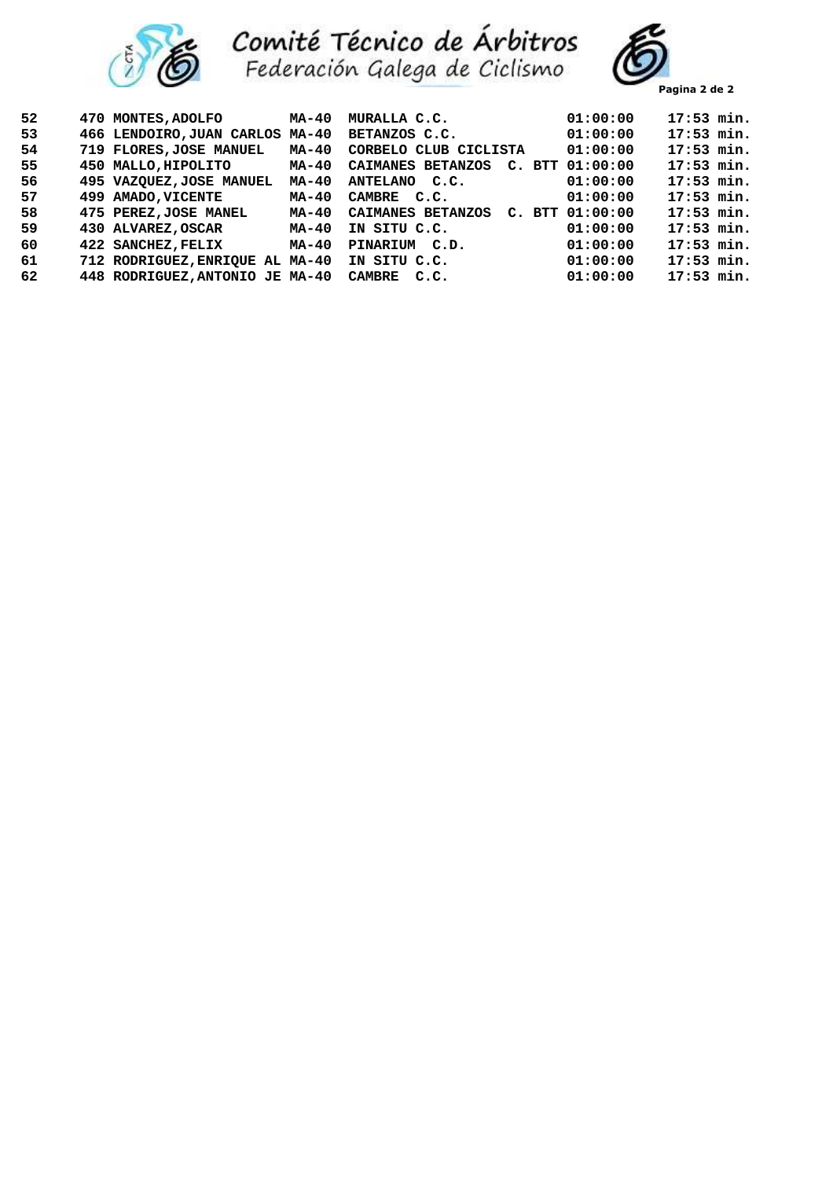



**Pagina 2 de 2**

| 52 | 470 MONTES, ADOLFO              | MA-40 | MURALLA C.C.          | 01:00:00            | $17:53$ min. |  |
|----|---------------------------------|-------|-----------------------|---------------------|--------------|--|
| 53 | 466 LENDOIRO, JUAN CARLOS MA-40 |       | BETANZOS C.C.         | 01:00:00            | $17:53$ min. |  |
| 54 | 719 FLORES, JOSE MANUEL         | MA-40 | CORBELO CLUB CICLISTA | 01:00:00            | $17:53$ min. |  |
| 55 | 450 MALLO, HIPOLITO             | MA-40 | CAIMANES BETANZOS     | $C.$ BTT $01:00:00$ | $17:53$ min. |  |
| 56 | 495 VAZQUEZ, JOSE MANUEL        | MA-40 | ANTELANO C.C.         | 01:00:00            | $17:53$ min. |  |
| 57 | 499 AMADO, VICENTE              | MA-40 | CAMBRE C.C.           | 01:00:00            | $17:53$ min. |  |
| 58 | 475 PEREZ, JOSE MANEL           | MA-40 | CAIMANES BETANZOS     | $C.$ BTT $01:00:00$ | $17:53$ min. |  |
| 59 | 430 ALVAREZ, OSCAR              | MA-40 | IN SITU C.C.          | 01:00:00            | $17:53$ min. |  |
| 60 | 422 SANCHEZ, FELIX              | MA-40 | PINARIUM C.D.         | 01:00:00            | $17:53$ min. |  |
| 61 | 712 RODRIGUEZ, ENRIOUE AL MA-40 |       | IN SITU C.C.          | 01:00:00            | $17:53$ min. |  |
| 62 | 448 RODRIGUEZ, ANTONIO JE MA-40 |       | <b>CAMBRE</b><br>C.C. | 01:00:00            | $17:53$ min. |  |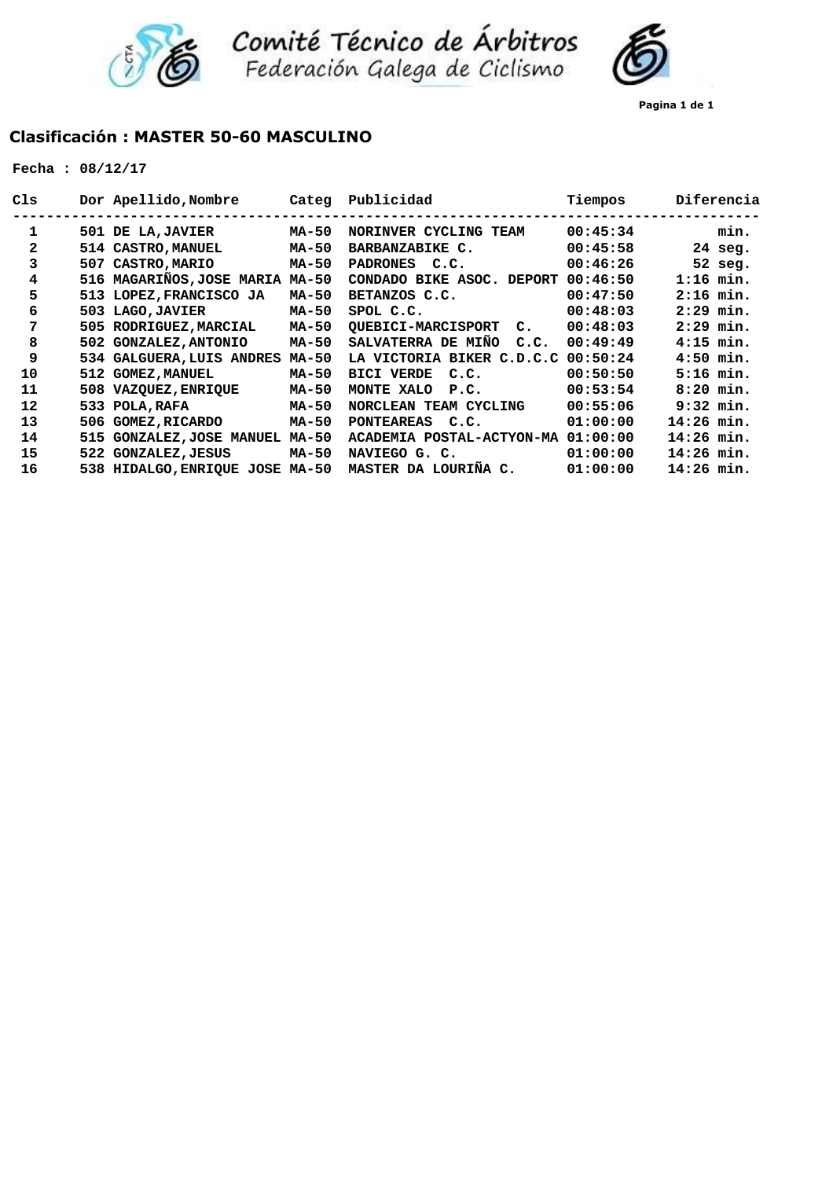

Comité Técnico de Árbitros<br>Federación Galega de Ciclismo



# **Clasificación : MASTER 50-60 MASCULINO**

|  |  | Fecha : $08/12/17$ |  |
|--|--|--------------------|--|
|--|--|--------------------|--|

| Cls          |     | Dor Apellido, Nombre            | Categ | Publicidad                                  | Tiempos  | Diferencia  |
|--------------|-----|---------------------------------|-------|---------------------------------------------|----------|-------------|
| 1            |     | 501 DE LA, JAVIER               | MA-50 | NORINVER CYCLING TEAM                       | 00:45:34 | min.        |
| $\mathbf{2}$ |     | 514 CASTRO, MANUEL              | MA-50 | BARBANZABIKE C.                             | 00:45:58 | $24$ seg.   |
| 3            |     | 507 CASTRO, MARIO               | MA-50 | <b>PADRONES</b><br>C.C.                     | 00:46:26 | 52 seg.     |
| 4            |     | 516 MAGARIÑOS, JOSE MARIA MA-50 |       | CONDADO BIKE ASOC. DEPORT                   | 00:46:50 | $1:16$ min. |
| 5            |     | 513 LOPEZ, FRANCISCO JA         | MA-50 | BETANZOS C.C.                               | 00:47:50 | $2:16$ min. |
| 6            |     | 503 LAGO, JAVIER                | MA-50 | SPOL C.C.                                   | 00:48:03 | $2:29$ min. |
| 7            |     | 505 RODRIGUEZ, MARCIAL          | MA-50 | <b>OUEBICI-MARCISPORT</b><br>$\mathbf{C}$ . | 00:48:03 | $2:29$ min. |
| 8            |     | 502 GONZALEZ, ANTONIO           | MA-50 | SALVATERRA DE MIÑO<br>C.C.                  | 00:49:49 | $4:15$ min. |
| 9            |     | 534 GALGUERA, LUIS ANDRES       | MA-50 | LA VICTORIA BIKER C.D.C.C                   | 00:50:24 | $4:50$ min. |
| 10           |     | 512 GOMEZ, MANUEL               | MA-50 | <b>BICI VERDE</b><br>C.C.                   | 00:50:50 | $5:16$ min. |
| 11           |     | 508 VAZQUEZ, ENRIQUE            | MA-50 | MONTE XALO<br>P.C.                          | 00:53:54 | $8:20$ min. |
| 12           | 533 | POLA, RAFA                      | MA-50 | NORCLEAN TEAM CYCLING                       | 00:55:06 | $9:32$ min. |
| 13           |     | 506 GOMEZ, RICARDO              | MA-50 | <b>PONTEAREAS</b><br>c.c.                   | 01:00:00 | 14:26 min.  |
| 14           | 515 | <b>GONZALEZ, JOSE MANUEL</b>    | MA-50 | ACADEMIA POSTAL-ACTYON-MA                   | 01:00:00 | 14:26 min.  |
| 15           |     | 522 GONZALEZ, JESUS             | MA-50 | NAVIEGO G. C.                               | 01:00:00 | 14:26 min.  |
| 16           |     | 538 HIDALGO, ENRIQUE JOSE MA-50 |       | MASTER DA LOURIÑA C.                        | 01:00:00 | 14:26 min.  |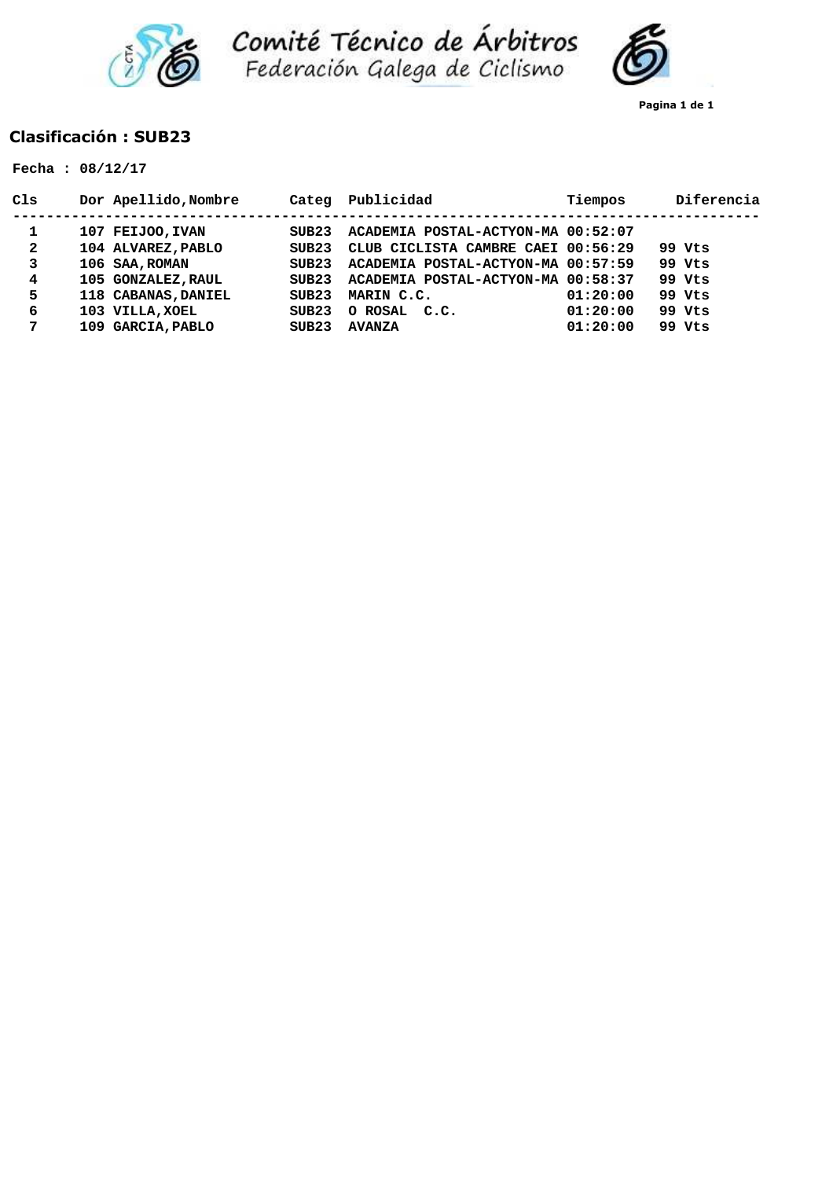



**Pagina 1 de 1**

### **Clasificación : SUB23**

|                                       | Fecha: $08/12/17$                                                                                                        |                                                      |                                                                                                                                                                                       |                      |                                                |
|---------------------------------------|--------------------------------------------------------------------------------------------------------------------------|------------------------------------------------------|---------------------------------------------------------------------------------------------------------------------------------------------------------------------------------------|----------------------|------------------------------------------------|
| C1s                                   | Dor Apellido, Nombre                                                                                                     | Categ                                                | Publicidad                                                                                                                                                                            | Tiempos              | Diferencia                                     |
| 1<br>$\mathbf{2}$<br>3<br>4<br>5<br>6 | 107 FEIJOO, IVAN<br>104 ALVAREZ, PABLO<br>106 SAA, ROMAN<br>105 GONZALEZ, RAUL<br>118 CABANAS, DANIEL<br>103 VILLA, XOEL | SUB23<br>STIB23<br>STIB23<br>SUB23<br>SUB23<br>SUB23 | ACADEMIA POSTAL-ACTYON-MA 00:52:07<br>CLUB CICLISTA CAMBRE CAEI 00:56:29<br>ACADEMIA POSTAL-ACTYON-MA 00:57:59<br>ACADEMIA POSTAL-ACTYON-MA 00:58:37<br>MARIN C.C.<br>O ROSAL<br>C.C. | 01:20:00<br>01:20:00 | 99 Vts<br>99 Vts<br>99 Vts<br>99 Vts<br>99 Vts |
| 7                                     | 109 GARCIA, PABLO                                                                                                        | SUB23                                                | <b>AVANZA</b>                                                                                                                                                                         | 01:20:00             | 99 Vts                                         |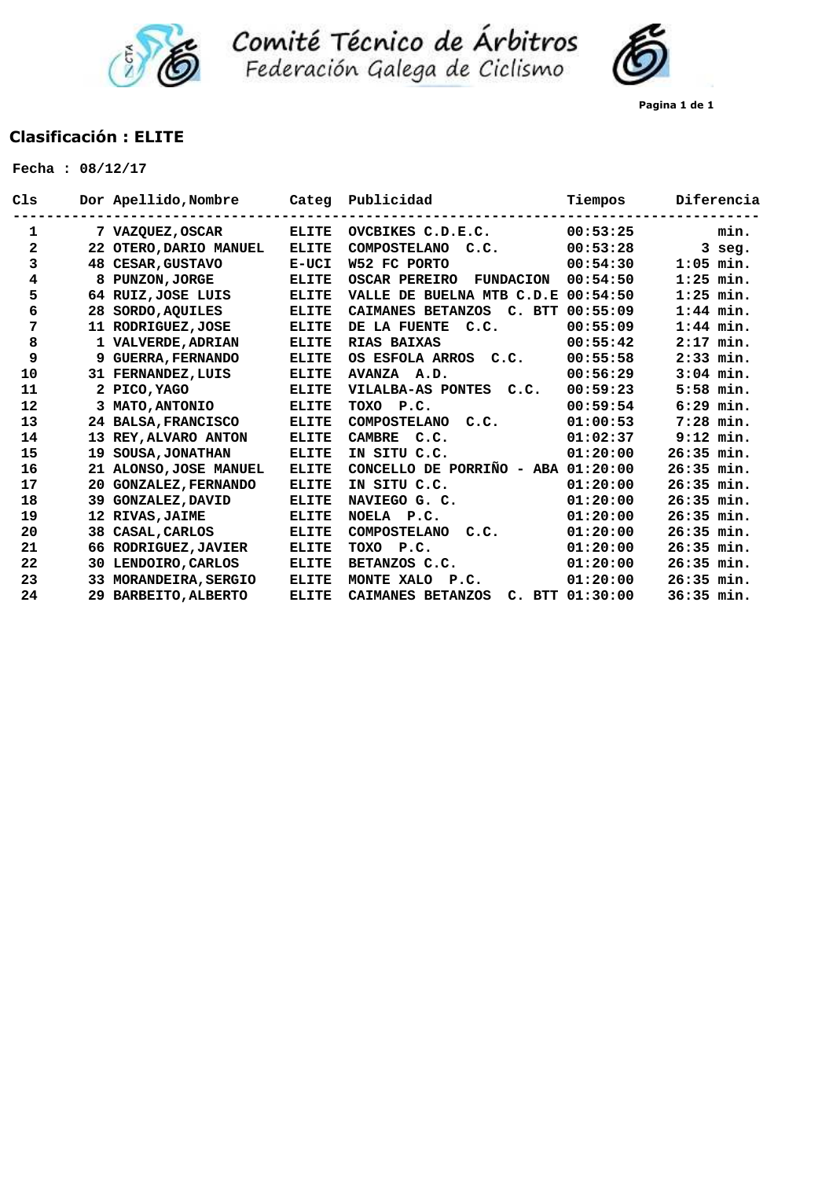



**Pagina 1 de 1**

## **Clasificación : ELITE**

| Cls          |     | Dor Apellido, Nombre      | Categ        | Publicidad                               | Tiempos         | Diferencia   |
|--------------|-----|---------------------------|--------------|------------------------------------------|-----------------|--------------|
| 1            |     | 7 VAZQUEZ, OSCAR          | <b>ELITE</b> | OVCBIKES C.D.E.C.                        | 00:53:25        | min.         |
| $\mathbf{2}$ |     | 22 OTERO, DARIO MANUEL    | <b>ELITE</b> | <b>COMPOSTELANO</b><br>C.C.              | 00:53:28        | $3$ seg.     |
| 3            |     | 48 CESAR, GUSTAVO         | E-UCI        | W52 FC PORTO                             | 00:54:30        | $1:05$ min.  |
| 4            |     | <b>PUNZON, JORGE</b>      | <b>ELITE</b> | <b>OSCAR PEREIRO</b><br><b>FUNDACION</b> | 00:54:50        | $1:25$ min.  |
| 5            |     | 64 RUIZ, JOSE LUIS        | <b>ELITE</b> | VALLE DE BUELNA MTB C.D.E                | 00:54:50        | $1:25$ min.  |
| 6            | 28  | <b>SORDO, AQUILES</b>     | <b>ELITE</b> | CAIMANES BETANZOS<br>C. BTT              | 00:55:09        | $1:44$ min.  |
| 7            |     | 11 RODRIGUEZ, JOSE        | <b>ELITE</b> | DE LA FUENTE<br>C.C.                     | 00:55:09        | $1:44$ min.  |
| 8            |     | 1 VALVERDE, ADRIAN        | <b>ELITE</b> | RIAS BAIXAS                              | 00:55:42        | $2:17$ min.  |
| 9            | 9   | <b>GUERRA, FERNANDO</b>   | <b>ELITE</b> | OS ESFOLA ARROS C.C.                     | 00:55:58        | $2:33$ min.  |
| 10           |     | 31 FERNANDEZ, LUIS        | <b>ELITE</b> | AVANZA A.D.                              | 00:56:29        | $3:04$ min.  |
| 11           |     | 2 PICO, YAGO              | <b>ELITE</b> | VILALBA-AS PONTES C.C.                   | 00:59:23        | $5:58$ min.  |
| 12           |     | 3 MATO, ANTONIO           | <b>ELITE</b> | TOXO<br>P.C.                             | 00:59:54        | $6:29$ min.  |
| 13           |     | 24 BALSA, FRANCISCO       | <b>ELITE</b> | COMPOSTELANO C.C.                        | 01:00:53        | $7:28$ min.  |
| 14           | 13  | REY, ALVARO ANTON         | <b>ELITE</b> | CAMBRE C.C.                              | 01:02:37        | $9:12$ min.  |
| 15           | 19  | <b>SOUSA, JONATHAN</b>    | <b>ELITE</b> | IN SITU C.C.                             | 01:20:00        | $26:35$ min. |
| 16           | 21  | ALONSO, JOSE MANUEL       | <b>ELITE</b> | CONCELLO DE PORRIÑO - ABA 01:20:00       |                 | $26:35$ min. |
| 17           |     | 20 GONZALEZ, FERNANDO     | <b>ELITE</b> | IN SITU C.C.                             | 01:20:00        | $26:35$ min. |
| 18           | 39. | <b>GONZALEZ, DAVID</b>    | <b>ELITE</b> | NAVIEGO G. C.                            | 01:20:00        | $26:35$ min. |
| 19           |     | 12 RIVAS, JAIME           | <b>ELITE</b> | NOELA P.C.                               | 01:20:00        | $26:35$ min. |
| 20           |     | 38 CASAL, CARLOS          | <b>ELITE</b> | <b>COMPOSTELANO</b><br>C.C.              | 01:20:00        | $26:35$ min. |
| 21           |     | 66 RODRIGUEZ, JAVIER      | <b>ELITE</b> | TOXO<br>P.C.                             | 01:20:00        | $26:35$ min. |
| 22           | 30. | LENDOIRO, CARLOS          | <b>ELITE</b> | BETANZOS C.C.                            | 01:20:00        | $26:35$ min. |
| 23           | 33  | <b>MORANDEIRA, SERGIO</b> | <b>ELITE</b> | MONTE XALO<br>P.C.                       | 01:20:00        | $26:35$ min. |
| 24           |     | 29 BARBEITO, ALBERTO      | <b>ELITE</b> | CAIMANES BETANZOS                        | C. BTT 01:30:00 | 36:35 min.   |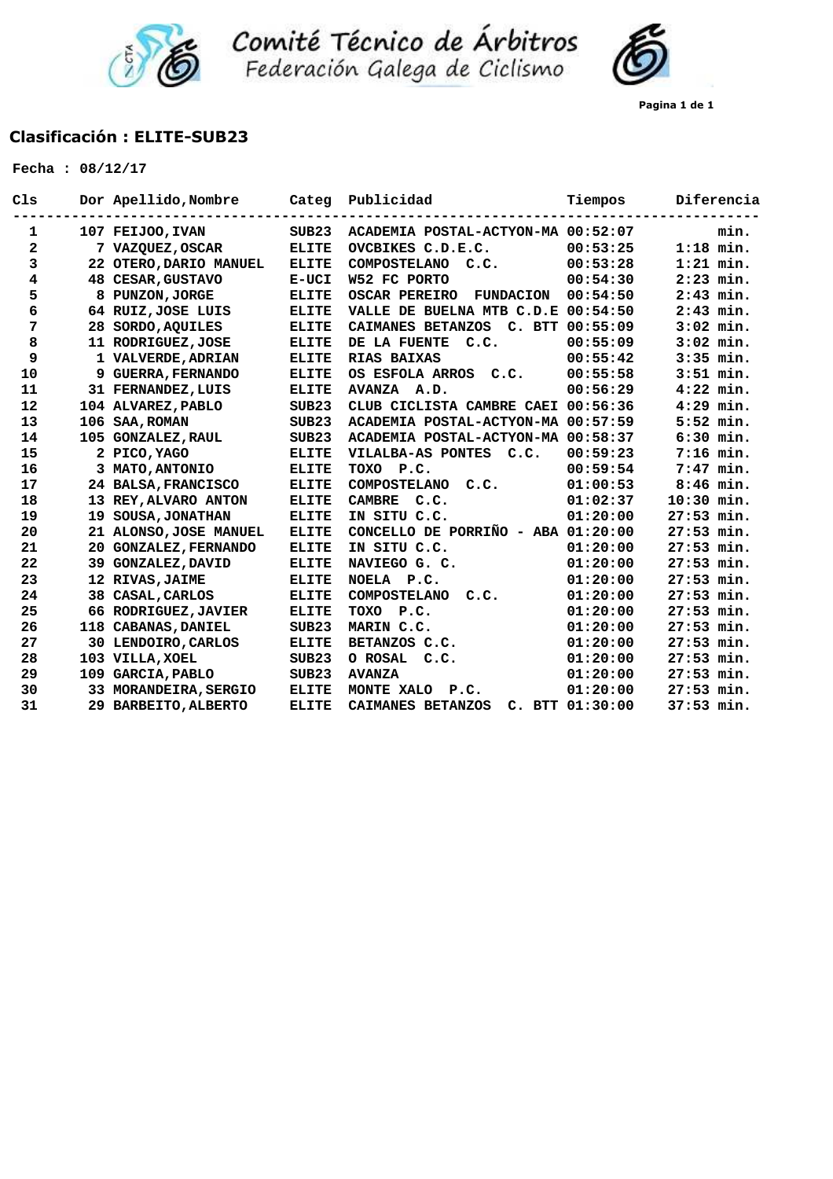

**Comité Técnico de Árbitros**<br>Federación Galega de Ciclismo



## **Clasificación : ELITE-SUB23**

| Cls          |     | Dor Apellido, Nombre   | Categ        | Publicidad                               | Tiempos         | Diferencia   |
|--------------|-----|------------------------|--------------|------------------------------------------|-----------------|--------------|
| 1            |     | 107 FEIJOO, IVAN       | SUB23        | ACADEMIA POSTAL-ACTYON-MA 00:52:07       |                 | min.         |
| $\mathbf{2}$ |     | 7 VAZQUEZ, OSCAR       | <b>ELITE</b> | OVCBIKES C.D.E.C.                        | 00:53:25        | $1:18$ min.  |
| 3            |     | 22 OTERO, DARIO MANUEL | <b>ELITE</b> | <b>COMPOSTELANO</b><br>C.C.              | 00:53:28        | $1:21$ min.  |
| 4            |     | 48 CESAR, GUSTAVO      | E-UCI        | W52 FC PORTO                             | 00:54:30        | $2:23$ min.  |
| 5            |     | 8 PUNZON, JORGE        | <b>ELITE</b> | <b>OSCAR PEREIRO</b><br><b>FUNDACION</b> | 00:54:50        | $2:43$ min.  |
| 6            |     | 64 RUIZ, JOSE LUIS     | <b>ELITE</b> | VALLE DE BUELNA MTB C.D.E 00:54:50       |                 | $2:43$ min.  |
| 7            |     | 28 SORDO, AQUILES      | <b>ELITE</b> | CAIMANES BETANZOS C. BTT                 | 00:55:09        | $3:02$ min.  |
| 8            |     | 11 RODRIGUEZ, JOSE     | <b>ELITE</b> | DE LA FUENTE C.C.                        | 00:55:09        | $3:02$ min.  |
| 9            |     | 1 VALVERDE, ADRIAN     | <b>ELITE</b> | RIAS BAIXAS                              | 00:55:42        | $3:35$ min.  |
| 10           |     | 9 GUERRA, FERNANDO     | <b>ELITE</b> | OS ESFOLA ARROS C.C.                     | 00:55:58        | $3:51$ min.  |
| 11           |     | 31 FERNANDEZ, LUIS     | <b>ELITE</b> | AVANZA A.D.                              | 00:56:29        | $4:22$ min.  |
| 12           |     | 104 ALVAREZ, PABLO     | SUB23        | CLUB CICLISTA CAMBRE CAEI 00:56:36       |                 | $4:29$ min.  |
| 13           |     | 106 SAA, ROMAN         | SUB23        | ACADEMIA POSTAL-ACTYON-MA 00:57:59       |                 | $5:52$ min.  |
| 14           |     | 105 GONZALEZ, RAUL     | SUB23        | ACADEMIA POSTAL-ACTYON-MA                | 00:58:37        | $6:30$ min.  |
| 15           |     | 2 PICO, YAGO           | <b>ELITE</b> | VILALBA-AS PONTES C.C.                   | 00:59:23        | $7:16$ min.  |
| 16           |     | 3 MATO, ANTONIO        | <b>ELITE</b> | P.C.<br>TOXO                             | 00:59:54        | $7:47$ min.  |
| 17           |     | 24 BALSA, FRANCISCO    | <b>ELITE</b> | <b>COMPOSTELANO</b><br>C.C.              | 01:00:53        | $8:46$ min.  |
| 18           |     | 13 REY, ALVARO ANTON   | <b>ELITE</b> | <b>CAMBRE</b><br>C.C.                    | 01:02:37        | $10:30$ min. |
| 19           | 19  | <b>SOUSA, JONATHAN</b> | <b>ELITE</b> | IN SITU C.C.                             | 01:20:00        | $27:53$ min. |
| 20           |     | 21 ALONSO, JOSE MANUEL | <b>ELITE</b> | CONCELLO DE PORRIÑO - ABA $01:20:00$     |                 | 27:53 min.   |
| 21           |     | 20 GONZALEZ, FERNANDO  | <b>ELITE</b> | IN SITU C.C.                             | 01:20:00        | 27:53 min.   |
| 22           |     | 39 GONZALEZ, DAVID     | <b>ELITE</b> | NAVIEGO G. C.                            | 01:20:00        | 27:53 min.   |
| 23           |     | 12 RIVAS, JAIME        | <b>ELITE</b> | NOELA P.C.                               | 01:20:00        | $27:53$ min. |
| 24           |     | 38 CASAL, CARLOS       | <b>ELITE</b> | COMPOSTELANO<br>C.C.                     | 01:20:00        | $27:53$ min. |
| 25           |     | 66 RODRIGUEZ, JAVIER   | <b>ELITE</b> | <b>TOXO</b><br>P.C.                      | 01:20:00        | 27:53 min.   |
| 26           | 118 | <b>CABANAS, DANIEL</b> | SUB23        | MARIN C.C.                               | 01:20:00        | 27:53 min.   |
| 27           |     | 30 LENDOIRO, CARLOS    | <b>ELITE</b> | BETANZOS C.C.                            | 01:20:00        | 27:53 min.   |
| 28           |     | 103 VILLA, XOEL        | SUB23        | O ROSAL<br>C.C.                          | 01:20:00        | 27:53 min.   |
| 29           |     | 109 GARCIA, PABLO      | SUB23        | <b>AVANZA</b>                            | 01:20:00        | 27:53 min.   |
| 30           |     | 33 MORANDEIRA, SERGIO  | <b>ELITE</b> | MONTE XALO<br>P.C.                       | 01:20:00        | $27:53$ min. |
| 31           |     | 29 BARBEITO, ALBERTO   | <b>ELITE</b> | CAIMANES BETANZOS                        | C. BTT 01:30:00 | 37:53 min.   |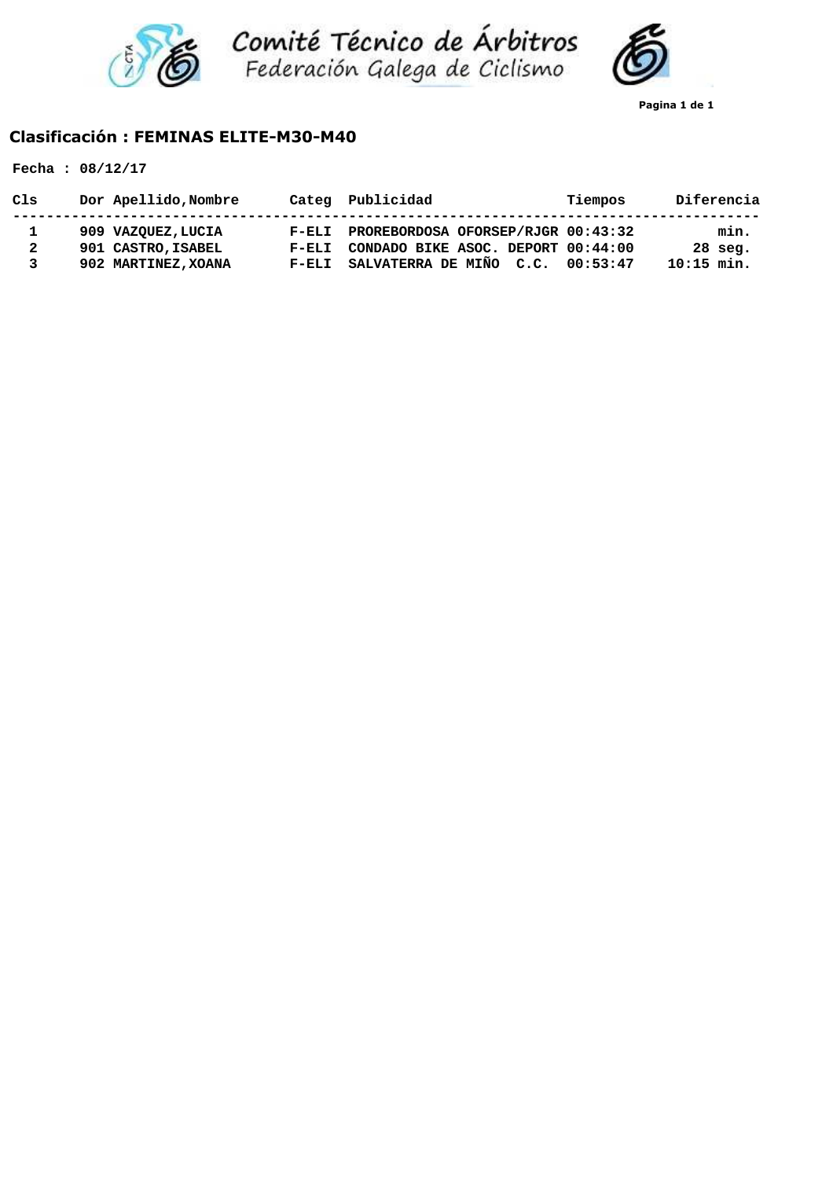



**Pagina 1 de 1**

## **Clasificación : FEMINAS ELITE-M30-M40**

|  | Fecha: $08/12/17$ |
|--|-------------------|
|--|-------------------|

| Cls          | Dor Apellido, Nombre |         | Categ Publicidad                   | Tiempos  | Diferencia   |
|--------------|----------------------|---------|------------------------------------|----------|--------------|
|              | 909 VAZOUEZ, LUCIA   | $F-ELI$ | PROREBORDOSA OFORSEP/RJGR 00:43:32 |          | min.         |
| $\mathbf{2}$ | 901 CASTRO, ISABEL   | $F-ELI$ | CONDADO BIKE ASOC. DEPORT 00:44:00 |          | $28$ seq.    |
| 3            | 902 MARTINEZ, XOANA  | $F-ELI$ | SALVATERRA DE MIÑO C.C.            | 00:53:47 | $10:15$ min. |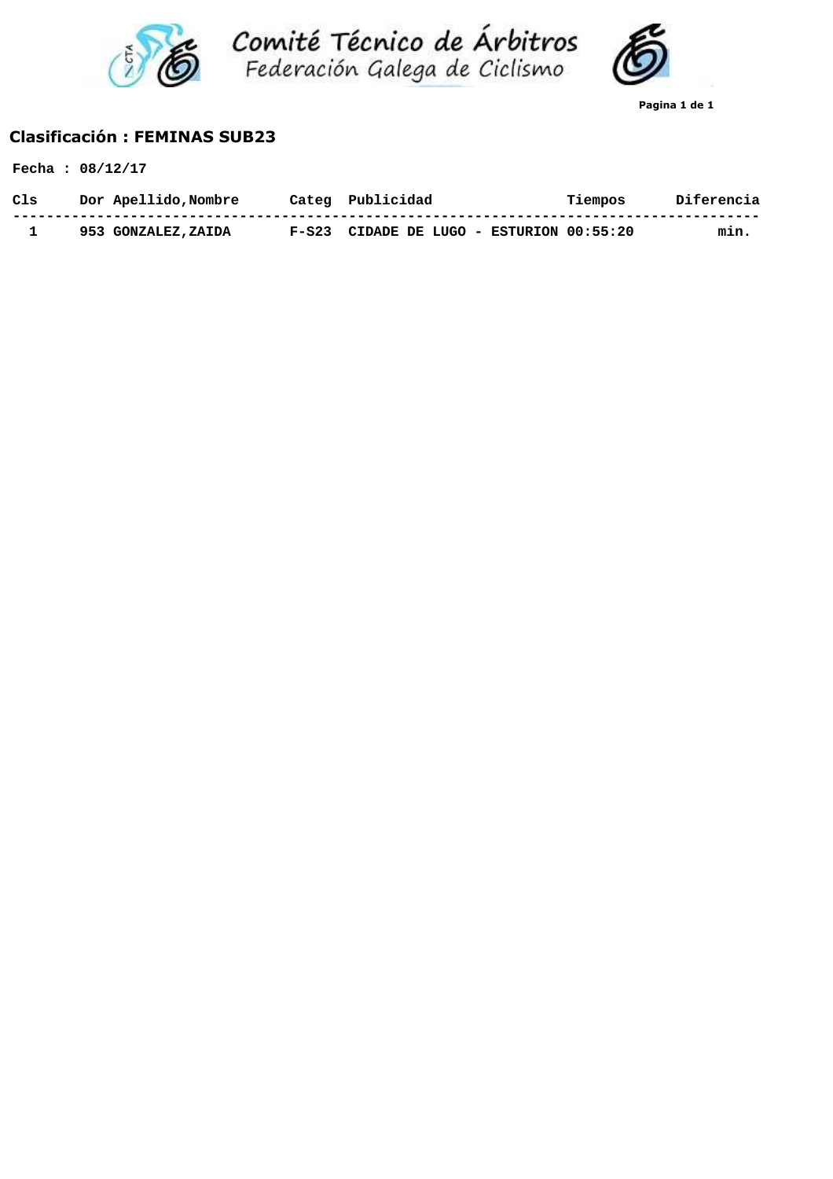



**Pagina 1 de 1**

## **Clasificación : FEMINAS SUB23**

|     | Fecha: $08/12/17$    |         |                                    |         |            |
|-----|----------------------|---------|------------------------------------|---------|------------|
| Cls | Dor Apellido, Nombre |         | Categ Publicidad                   | Tiempos | Diferencia |
|     | 953 GONZALEZ, ZAIDA  | $F-S23$ | CIDADE DE LUGO - ESTURION 00:55:20 |         | min.       |